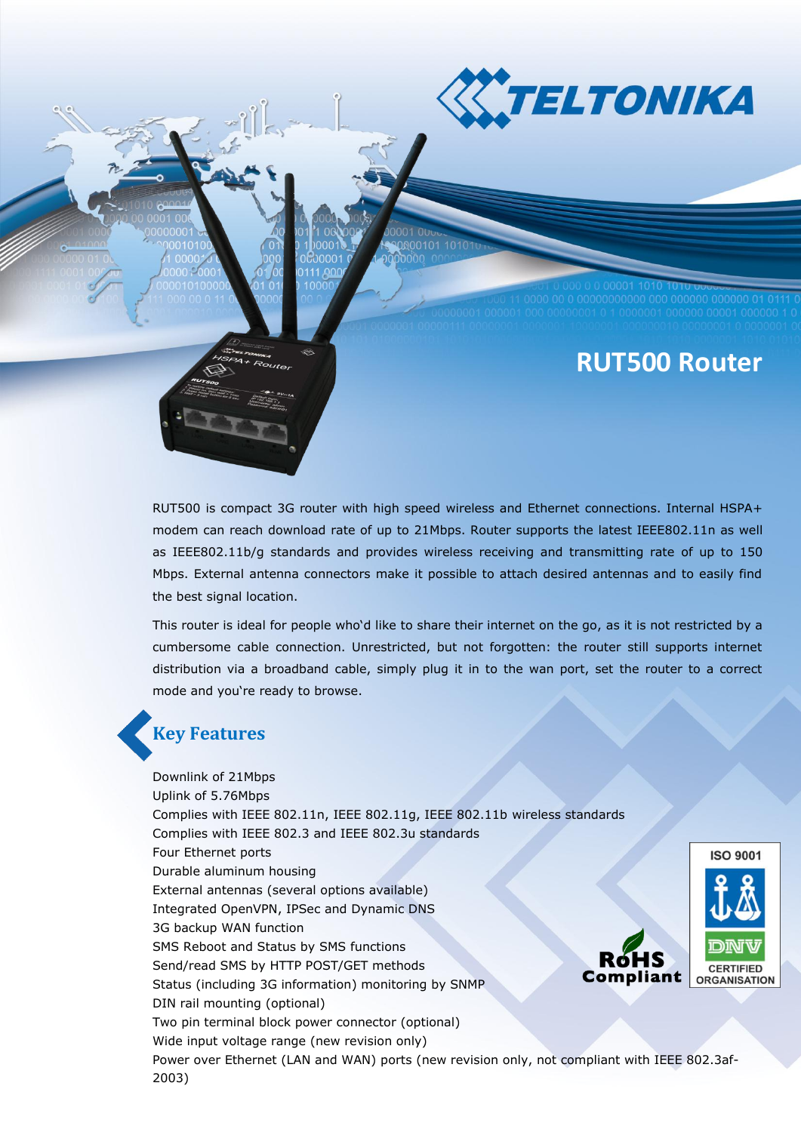**KTELTONIKA** 

# **RUT500 Router**

RUT500 is compact 3G router with high speed wireless and Ethernet connections. Internal HSPA+ modem can reach download rate of up to 21Mbps. Router supports the latest IEEE802.11n as well as IEEE802.11b/g standards and provides wireless receiving and transmitting rate of up to 150 Mbps. External antenna connectors make it possible to attach desired antennas and to easily find the best signal location.

This router is ideal for people who'd like to share their internet on the go, as it is not restricted by a cumbersome cable connection. Unrestricted, but not forgotten: the router still supports internet distribution via a broadband cable, simply plug it in to the wan port, set the router to a correct mode and you're ready to browse.

## **Key Features**

Downlink of 21Mbps Uplink of 5.76Mbps Complies with IEEE 802.11n, IEEE 802.11g, IEEE 802.11b wireless standards Complies with IEEE 802.3 and IEEE 802.3u standards Four Ethernet ports Durable aluminum housing External antennas (several options available) Integrated OpenVPN, IPSec and Dynamic DNS 3G backup WAN function SMS Reboot and Status by SMS functions R6HS Send/read SMS by HTTP POST/GET methods **Compliant** Status (including 3G information) monitoring by SNMP DIN rail mounting (optional) Two pin terminal block power connector (optional) Wide input voltage range (new revision only) Power over Ethernet (LAN and WAN) ports (new revision only, not compliant with IEEE 802.3af-2003)

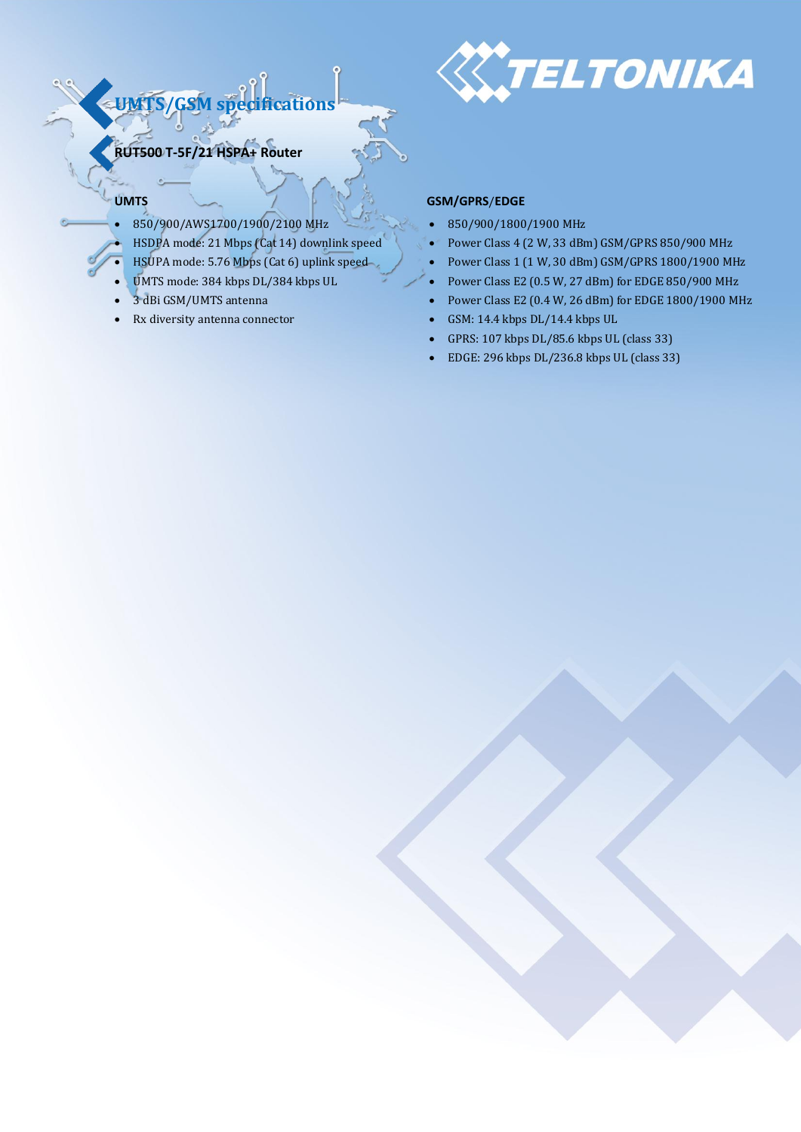

**RUT500 T-5F/21 HSPA+ Router**

**UMTS/GSM specifications**

- 850/900/AWS1700/1900/2100 MHz 850/900/1800/1900 MHz
- 
- 
- 
- 
- 

### **UMTS CONSTRANTS CONSTRANTS**

- 
- HSDPA mode: 21 Mbps (Cat 14) downlink speed <br>Power Class 4 (2 W, 33 dBm) GSM/GPRS 850/900 MHz
- HSUPA mode: 5.76 Mbps (Cat 6) uplink speed Power Class 1 (1 W, 30 dBm) GSM/GPRS 1800/1900 MHz
- UMTS mode: 384 kbps DL/384 kbps UL Power Class E2 (0.5 W, 27 dBm) for EDGE 850/900 MHz
- 3 dBi GSM/UMTS antenna Power Class E2 (0.4 W, 26 dBm) for EDGE 1800/1900 MHz
- Rx diversity antenna connector <br>
GSM: 14.4 kbps DL/14.4 kbps UL
	- GPRS: 107 kbps DL/85.6 kbps UL (class 33)
	- EDGE: 296 kbps DL/236.8 kbps UL (class 33)